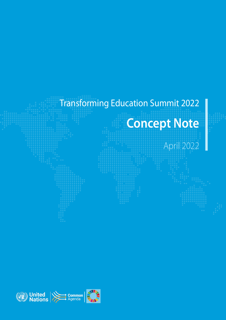# Transforming Education Summit 2022 **Concept Note** April 2022

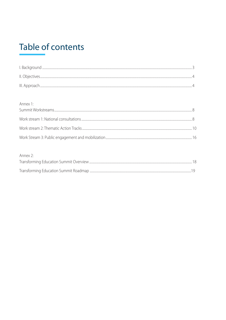# **Table of contents**

| Annex 1: |  |
|----------|--|
|          |  |
|          |  |
|          |  |
|          |  |
|          |  |
|          |  |

## Annex 2: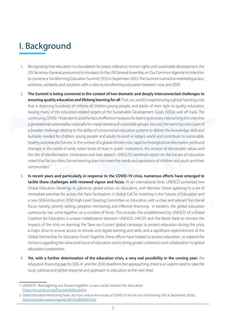# <span id="page-2-0"></span>I. Background

- 1. Recognizing that education is a foundation for peace, tolerance, human rights and sustainable development, the UN Secretary-General announced in his report to the UN General Assembly on Our Common Agenda his intention to convene a Transforming Education Summit (TES) in September 2022. The Summit is aimed at mobilizing action, ambition, solidarity and solutions with a view to transforming education between now and 2030.
- 2. **The Summit is being convened in the context of two dramatic and deeply interconnected challenges to ensuring quality education and lifelong learning for all**. First, our world is experiencing a global learning crisis that is depriving hundreds of millions of children,young people, and adults of their right to quality education, leaving many of the education-related targets of the Sustainable Development Goals (SDGs) well off track. The continuing COVID-19 pandemic and the lack of effective measures for learning recovery risks turning this crisis into a generational catastrophe, especially for marginalized and vulnerable groups. Second, the learning crisis is part of a broader challenge relating to the ability of conventional education systems to deliver the knowledge, skills and outlooks needed for children, young people and adults to excel in today's world and contribute to sustainable, healthy and peaceful futures. In the context of a global climate crisis, rapid technological transformation, profound changes in the world of work, lower levels of trust in public institutions, the erosion of democratic values and the rise of disinformation, intolerance and hate speech, UNESCO's landmark report on the futures of education noted that 'far too often, formal learning does not meet the needs and aspirations of children and youth and their communities'.1
- 3. **In recent years and particularly in response to the COVID-19 crisis, numerous efforts have emerged to tackle these challenges with renewed vigour and focus.** At an international level, UNESCO convened two Global Education Meetings to galvanize global action on education, with Member States agreeing to a set of immediate priorities for action, the Paris Declaration: A Global Call for Investing in the Futures of Education and a new SDG4-Education 2030 High-Level Steering Committee on Education, with a clear and relevant functional focus, namely, priority setting, progress monitoring and effective financing. In tandem, the global education community has come together on a number of fronts. This includes the establishment by UNESCO of a Global Coalition for Education; a unique collaboration between UNESCO, UNICEF and the World Bank to monitor the impacts of the crisis on learning; the 'Save our Futures' global campaign to protect education during the crisis; a major drive to ensure access to remote and digital learning and skills; and a significant replenishment of the Global Partnership for Education Fund. Together, these efforts have helped to protect education, to expand the horizons regarding the value and future of education and to bring greater coherence and collaboration to global education cooperation.
- 4. **Yet, with a further deterioration of the education crisis, a very real possibility in the coming year:** the education financing gap for SDG 4<sup>2</sup>; and the 2030 deadlines fast approaching, there is an urgent need to take the local, national and global response and approach to education to the next level.

<sup>1</sup> UNESCO: Reimagining our futures together: a new social contract for education <https://en.unesco.org/futuresofeducation/>

<sup>2</sup> Global Education Monitoring Team, Act now: reduce the impact of COVID-19 on the cost of achieving SDG 4, September 20202, <https://unesdoc.unesco.org/ark:/48223/pf0000374163>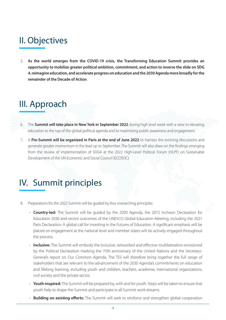# <span id="page-3-0"></span>II. Objectives

5. **As the world emerges from the COVID-19 crisis, the Transforming Education Summit provides an opportunity to mobilize greater political ambition, commitment, and action to reverse the slide on SDG 4, reimagine education, and accelerate progress on education and the 2030 Agenda more broadly for the remainder of the Decade of Action**.

# III. Approach

- 6. The **Summit will take place in New York in September 2022** during high level week with a view to elevating education to the top of the global political agenda and to maximizing public awareness and engagement.
- 7. A **Pre-Summit will be organized in Paris at the end of June 2022** to harness the evolving discussions and generate greater momentum in the lead up to September. The Summit will also draw on the findings emerging from the review of implementation of SDG4 at the 2022 High-Level Political Forum (HLPF) on Sustainable Development of the UN Economic and Social Council (ECOSOC).

# IV. Summit principles

- 8. Preparations for the 2022 Summit will be guided by four overarching principles:
	- **Country-led:** The Summit will be guided by the 2030 Agenda, the 2015 Incheon Declaration for Education 2030 and recent outcomes of the UNESCO Global Education Meeting, including the 2021 Paris Declaration: A global call for investing in the Futures of Education. A significant emphasis will be placed on engagement at the national level and member states will be actively engaged throughout the process.
	- **Inclusive:** The Summit will embody the inclusive, networked and effective multilateralism envisioned by the Political Declaration marking the 75th anniversary of the United Nations and the Secretary-General's report on Our Common Agenda. The TES will therefore bring together the full range of stakeholders that are relevant to the advancement of the 2030 Agenda's commitments on education and lifelong learning, including youth and children, teachers, academia, international organizations, civil society and the private sector.
	- **Youth-inspired:** The Summit will be prepared by, with and for youth. Steps will be taken to ensure that youth help to shape the Summit and participate in all Summit work streams.
	- **Building on existing efforts:** The Summit will seek to reinforce and strengthen global cooperation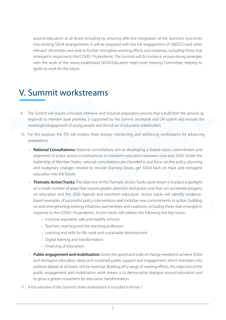around education at all levels including by ensuring effective integration of the Summit's outcomes into existing SDG4 arrangements. It will be prepared with the full engagement of UNESCO and other relevant UN entities and seek to further strengthen existing efforts and initiatives, including those that emerged in response to the COVID-19 pandemic. The Summit will, for instance, ensure strong synergies with the work of the newly established SDG4-Education High-Level Steering Committee, helping to ignite its work for the future.

# V. Summit workstreams

9. The Summit will require a focused, intensive, and inclusive preparatory process that is built from the ground up, responds to member state priorities, is supported by the Summit secretariat and UN system and ensures the meaningful engagement of young people and the full set of education stakeholders.

- 10. For this purpose, the TES will employ three primary intersecting and reinforcing workstreams for advancing preparations.
	- **• National Consultations:** National consultations aim at developing a shared vision, commitment and alignment of action across constituencies to transform education between now and 2030. Under the leadership of Member States, national consultations are intended to put focus on the policy, planning and budgetary changes needed to recover learning losses, get SDG4 back on track and reimagine education into the future.
	- **• Thematic Action Tracks:** The objective of the Thematic Action Tracks work stream is to place a spotlight on a small number of areas that require greater attention and action and that can accelerate progress on education and the 2030 Agenda and transform education. Action tracks will identify evidencebased examples of successful policy interventions and mobilize new commitments to action, building on and strengthening existing initiatives, partnerships and coalitions, including those that emerged in response to the COVID-19 pandemic. Action tracks will address the following five key issues:
		- o Inclusive, equitable, safe and healthy schools:
		- o Teachers, teaching and the teaching profession:
		- o Learning and skills for life, work and sustainable development:
		- o Digital learning and transformation
		- o Financing of education:
	- **• Public engagement and mobilization:** Given the speed and scale of change needed to achieve SDG4 and reimagine education, deep and sustained public support and engagement, which translates into political debate at all levels, will be essential. Building off a range of existing efforts, the objective of the public engagement and mobilization work stream is to democratize dialogue around education and to grow a global movement for education transformation.
- 11. A full overview of the Summit's three workstreams is included in Annex 1.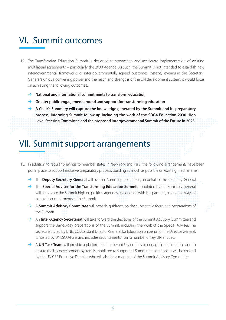# VI. Summit outcomes

- 12. The Transforming Education Summit is designed to strengthen and accelerate implementation of existing multilateral agreements – particularly the 2030 Agenda. As such, the Summit is not intended to establish new intergovernmental frameworks or inter-governmentally agreed outcomes. Instead, leveraging the Secretary-General's unique convening power and the reach and strengths of the UN development system, it would focus on achieving the following outcomes:
	- **→** National and international commitments to transform education
	- → Greater public engagement around and support for transforming education
	- $\rightarrow$  A Chair's Summary will capture the knowledge generated by the Summit and its preparatory **process, informing Summit follow-up including the work of the SDG4-Education 2030 High Level Steering Committee and the proposed intergovernmental Summit of the Future in 2023.**

# VII. Summit support arrangements

- 13. In addition to regular briefings to member states in New York and Paris, the following arrangements have been put in place to support inclusive preparatory process, building as much as possible on existing mechanisms:
	- → The **Deputy Secretary-General** will oversee Summit preparations, on behalf of the Secretary-General.
	- → The **Special Adviser for the Transforming Education Summit** appointed by the Secretary-General will help place the Summit high on political agendas and engage with key partners, paving the way for concrete commitments at the Summit.
	- → A **Summit Advisory Committee** will provide quidance on the substantive focus and preparations of the Summit.
	- An **Inter-Agency Secretariat** will take forward the decisions of the Summit Advisory Committee and support the day-to-day preparations of the Summit, including the work of the Special Adviser. The secretariat is led by UNESCO Assistant Director-General for Education on behalf of the Director General, is hosted by UNESCO-Paris and includes secondments from a number of key UN entities.
	- $\rightarrow$  A **UN Task Team** will provide a platform for all relevant UN entities to engage in preparations and to ensure the UN development system is mobilized to support all Summit preparations. It will be chaired by the UNICEF Executive Director, who will also be a member of the Summit Advisory Committee.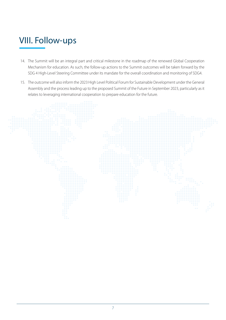# VIII. Follow-ups

- 14. The Summit will be an integral part and critical milestone in the roadmap of the renewed Global Cooperation Mechanism for education. As such, the follow-up actions to the Summit outcomes will be taken forward by the SDG 4 High-Level Steering Committee under its mandate for the overall coordination and monitoring of SDG4.
- 15. The outcome will also inform the 2023 High Level Political Forum for Sustainable Development under the General Assembly and the process leading up to the proposed Summit of the Future in September 2023, particularly as it relates to leveraging international cooperation to prepare education for the future.

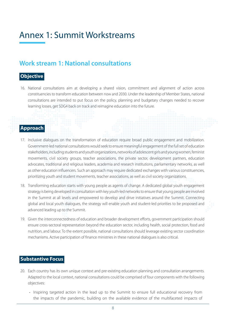# <span id="page-7-0"></span>Annex 1: Summit Workstreams

# **Work stream 1: National consultations**

### **Objective**

16. National consultations aim at developing a shared vision, commitment and alignment of action across constituencies to transform education between now and 2030. Under the leadership of Member States, national consultations are intended to put focus on the policy, planning and budgetary changes needed to recover learning losses, get SDG4 back on track and reimagine education into the future.

## **Approach**

- 17. Inclusive dialogues on the transformation of education require broad public engagement and mobilization. Government-led national consultations would seek to ensure meaningful engagement of the full set of education stakeholders, including students and youth organizations, networks of adolescent girls and young women, feminist movements, civil society groups, teacher associations, the private sector, development partners, education advocates, traditional and religious leaders, academia and research institutions, parliamentary networks, as well as other education influencers. Such an approach may require dedicated exchanges with various constituencies, prioritizing youth and student movements, teacher associations, as well as civil society organizations.
- 18. Transforming education starts with young people as agents of change. A dedicated global youth engagement strategy is being developed in consultation with key youth-led networks to ensure that young people are involved in the Summit at all levels and empowered to develop and drive initiatives around the Summit. Connecting global and local youth dialogues, the strategy will enable youth and student-led priorities to be proposed and advanced leading up to the Summit.
- 19. Given the interconnectedness of education and broader development efforts, government participation should ensure cross-sectoral representation beyond the education sector, including health, social protection, food and nutrition, and labour. To the extent possible, national consultations should leverage existing sector coordination mechanisms. Active participation of finance ministries in these national dialogues is also critical.

#### **Substantive Focus**

- 20. Each country has its own unique context and pre-existing education planning and consultation arrangements. Adapted to the local context, national consultations could be comprised of four components with the following objectives:
	- Inspiring targeted action in the lead up to the Summit to ensure full educational recovery from the impacts of the pandemic, building on the available evidence of the multifaceted impacts of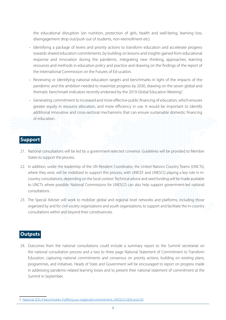the educational disruption (on nutrition, protection of girls, health and well-being, learning loss, disengagement drop out/push out of students, non-reenrollment etc).

- Identifying a package of levers and priority actions to transform education and accelerate progress towards shared education commitments, by building on lessons and insights gained from educational response and innovation during the pandemic, integrating new thinking, approaches, learning resources and methods in education policy and practice and drawing on the findings of the report of the International Commission on the Futures of Ed-ucation.
- Reviewing or identifying national education targets and benchmarks in light of the impacts of the pandemic and the ambition needed to maximize progress by 2030, drawing on the seven global and thematic benchmark indicators recently endorsed by the 2019 Global Education Meeting<sup>3</sup>.
- Generating commitment to increased and more effective public financing of education, which ensures greater equity in resource allocation, and more efficiency in use. It would be important to identify additional innovative and cross-sectoral mechanisms that can ensure sustainable domestic financing of education.

#### **Support**

- 21. National consultations will be led by a government-selected convenor. Guidelines will be provided to Member States to support the process.
- 22. In addition, under the leadership of the UN Resident Coordinator, the United Nations Country Teams (UNCTs), where they exist, will be mobilized to support this process, with UNICEF and UNESCO playing a key role in incountry consultations, depending on the local context. Technical advice and seed funding will be made available to UNCTs where possible. National Commissions for UNESCO can also help support government-led national consultations.
- 23. The Special Adviser will work to mobilize global and regional level networks and platforms, including those organized by and for civil society organizations and youth organizations, to support and facilitate the in-country consultations within and beyond their constituencies.

#### **Outputs**

24. Outcomes from the national consultations could include a summary report to the Summit secretariat on the national consultation process and a two to three page National Statement of Commitment to Transform Education, capturing national commitments and consensus on priority actions, building on existing plans, programmes, and initiatives. Heads of State and Government will be encouraged to report on progress made in addressing pandemic-related learning losses and to present their national statement of commitment at the Summit in September.

<sup>3</sup> [National SDG 4 benchmarks: Fulfilling our neglected commitment, UNESCO GEM and UIS](https://en.unesco.org/gem-report/node/3617)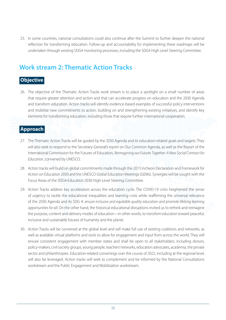<span id="page-9-0"></span>25. In some countries, national consultations could also continue after the Summit to further deepen the national reflection for transforming education. Follow-up and accountability for implementing these roadmaps will be undertaken through existing SDG4 monitoring processes, including the SDG4 High Level Steering Committee.

# **Work stream 2: Thematic Action Tracks**

## **Objective**

26. The objective of the Thematic Action Tracks work stream is to place a spotlight on a small number of areas that require greater attention and action and that can accelerate progress on education and the 2030 Agenda and transform education. Action tracks will identify evidence-based examples of successful policy interventions and mobilize new commitments to action, building on and strengthening existing initiatives, and identify key elements for transforming education, including those that require further international cooperation.

## **Approach**

- 27. The Thematic Action Tracks will be guided by the 2030 Agenda and its education-related goals and targets. They will also seek to respond to the Secretary-General's report on Our Common Agenda, as well as the Report of the International Commission for the Futures of Education, *Reimagining our Futures Together: A New Social Contract for Education,* convened by UNESCO.
- 28. Action tracks will build on global commitments made through the 2015 Incheon Declaration and Framework for Action on Education 2030 and the UNESCO Global Education Meetings (GEMs). Synergies will be sought with the Focus Areas of the SDG4-Education 2030 High-Level Steering Committee.
- 29. Action Tracks address key accelerators across the education cycle. The COVID-19 crisis heightened the sense of urgency to tackle the educational inequalities and learning crisis while reaffirming the universal relevance of the 2030 Agenda and its SDG 4: *ensure inclusive and equitable quality education and promote lifelong learning opportunities for all.* On the other hand, the historical educational disruptions invited us to rethink and reimagine the purpose, content and delivery modes of education—in other words, to *transform education* toward peaceful, inclusive and sustainable futures of humanity and the planet.
- 30. Action Tracks will be convened at the global level and will make full use of existing coalitions and networks, as well as available virtual platforms and tools to allow for engagement and input from across the world. They will ensure consistent engagement with member states and shall be open to all stakeholders, including donors, policy-makers, civil society groups, young people, teachers' networks, education advocates, academia, the private sector and philanthropies. Education-related convenings over the course of 2022, including at the regional level, will also be leveraged. Action tracks will seek to complement and be informed by the National Consultations workstream and the Public Engagement and Mobilization workstream.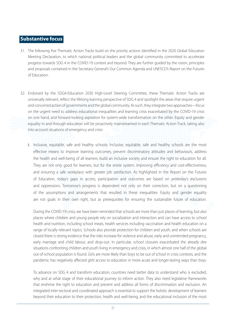## **Substantive focus**

- 31. The following five Thematic Action Tracks build on the priority actions identified in the 2020 Global Education Meeting Declaration, to which national political leaders and the global community committed to accelerate progress towards SDG 4 in the COVID-19 context and beyond. They are further guided by the vision, principles and proposals contained in the Secretary-General's Our Common Agenda and UNESCO's Report on the Futures of Education.
- 32. Endorsed by the SDG4-Education 2030 High-Level Steering Committee, these Thematic Action Tracks are universally relevant, reflect the lifelong learning perspective of SDG 4 and spotlight the areas that require urgent and concerted action of governments and the global community. As such, they integrate two approaches—focus on the urgent need to address educational inequalities and learning crisis exacerbated by the COVID-19 crisis on one hand, and forward-looking aspiration for system-wide transformation on the other. Equity and gender equality in and through education will be proactively mainstreamed in each Thematic Action Track, taking also into account situations of emergency and crisis:
	- i. Inclusive, equitable, safe and healthy schools: Inclusive, equitable, safe and healthy schools are the most effective means to improve learning outcomes, prevent discriminatory attitudes and behaviours, address the health and well-being of all learners, build an inclusive society and ensure the right to education for all. They are not only good for learners, but for the entire system, improving efficiency and cost-effectiveness, and ensuring a safe workplace with greater job satisfaction. As highlighted in the Report on the Futures of Education, today's gaps in access, participation and outcomes are based on yesterday's exclusions and oppressions. Tomorrow's progress is dependent not only on their correction, but on a questioning of the assumptions and arrangements that resulted in these inequalities. Equity and gender equality are not goals in their own right, but as prerequisites for ensuring the sustainable future of education.

During the COVID-19 crisis, we have been reminded that schools are more than just places of learning, but also places where children and young people rely on socialization and interaction and can have access to school health and nutrition, including school meals, health services including vaccination and health education on a range of locally relevant topics. Schools also provide protection for children and youth, and when schools are closed there is strong evidence that the risks increase for violence and abuse, early and unintended pregnancy, early marriage and child labour, and drop-out. In particular, school closures exacerbated the already dire situations confronting children and youth living in emergency and crisis, in which almost one half of the global out-of-school population is found. Girls are more likely than boys to be out of school in crisis contexts, and the pandemic has negatively affected girls' access to education in more acute and longer-lasting ways than boys.

To advance on SDG 4 and transform education, countries need better data to understand who is excluded, why and at what stage of their educational journey to inform action. They also need legislative frameworks that enshrine the right to education and prevent and address all forms of discrimination and exclusion. An integrated inter-sectoral and coordinated approach is essential to support the holistic development of learners beyond their education to their protection, health and well-being, and the educational inclusion of the most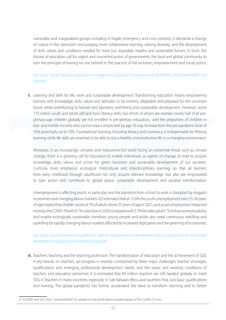vulnerable and marginalized groups including in fragile, emergency and crisis contexts. It demands a change of culture in the classroom, encouraging more collaborative learning, valuing diversity, and the development of skills, values and conditions needed for more just, equitable, healthy and sustainable futures. In short, the futures of education call for urgent and concerted action of governments, the local and global community to turn the principle of leaving no one behind to the practice of full inclusion, empowerment and social justice.

#### *Key issues: Gender equality, Education in emergencies, Education for persons with disabilities, and School health and nutrition.*

ii. Learning and skills for life, work and sustainable development: Transforming education means empowering learners with knowledge, skills, values and attitudes to be resilient, adaptable and prepared for the uncertain future while contributing to human and planetary well-being and sustainable development. However, some 773 million youth and adults still lack basic literacy skills, two-thirds of whom are women; nearly half of all preprimary-age children globally are not enrolled in pre-primary education; and the proportion of children in low- and middle-income who cannot read a simple text by age 10 may increase from the pre-pandemic level of 50% potentially up to 70%. Foundational learning, including literacy and numeracy, is indispensable for lifelong learning while life skills are essential to be able to live a healthy and productive life in a changing environment.

Moreover, in an increasingly complex and interconnected world facing an existential threat such as climate change, there is a growing call for education to enable individuals, as agents of change, to lead to acquire knowledge, skills, values and action for green transition and sustainable development of our societies. Curricula must emphasize ecological, intercultural and interdisciplinary learning, so that all learners from early childhood through adulthood not only acquire relevant knowledge, but also are empowered to take action and contribute to global peace, sustainable development and societal transformation.

Unemployment is affecting youth, in particular, and the transition from school to work is disrupted by sluggish economies and changing labour markets. ILO estimates that at 15.6% the youth unemployment rate (15-24 years of age) tripled that of older adults (4.7% of adults above 25 years of age in 2021; and youth employment impacted more by the COVID-19 with 8.7% reduction in 2020 compared with 3.7% for older adults<sup>4</sup>. To enhance employability and enable ecologically sustainable transition, young people and adults also need continuous reskilling and upskilling for rapidly changing labour markets affected by increased digitization and the greening of economies.

#### *Key issues: Foundational learning (lifelong), Skills for employment and entrepreneurship, and Education for sustainable development including environmental education*.

iii. Teachers, teaching and the teaching profession: The transformation of education and the achievement of SDG 4 rely heavily on teachers, yet progress is severely constrained by three major challenges: teacher shortages, qualifications and emerging professional development needs, and the status and working conditions of teachers and education personnel. It is estimated that 69 million teachers are still needed globally to meet SDG 4. Teachers in many countries, especially in Sub-Saharan Africa and Southern Asia, lack basic qualifications and training. The global pandemic has further accelerated the need to transform teaching and to better

<sup>4</sup> ILOSTAT and ILO. 2021. *Statistical Brief: An update on the youth labour market impact of the COVID-19 crisis.*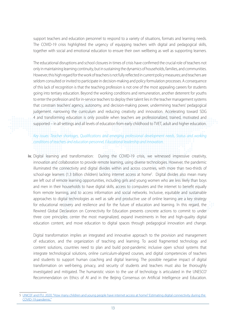support teachers and education personnel to respond to a variety of situations, formats and learning needs. The COVID-19 crisis highlighted the urgency of equipping teachers with digital and pedagogical skills, together with social and emotional education to ensure their own wellbeing as well as supporting learners.

The educational disruptions and school closures in times of crisis have confirmed the crucial role of teachers not only in maintaining learning continuity, but in sustaining the dynamics of households, families, and communities. However, this high regard for the work of teachers is not fully reflected in current policy measures; and teachers are seldom consulted or invited to participate in decision-making and policy formulation processes. A consequence of this lack of recognition is that the teaching profession is not one of the most appealing careers for students going into tertiary education. Beyond the working conditions and remuneration, another deterrent for youths to enter the profession and for in-service teachers to deploy their talent lies in the teacher management systems that constrain teachers' agency, autonomy, and decision-making power, undermining teachers' pedagogical judgement. narrowing the curriculum and reducing creativity and innovation. Accelerating toward SDG 4 and transforming education is only possible when teachers are professionalized, trained, motivated and supported – in all settings and all levels of education from early childhood to TVET, adult and higher education.

*Key issues: Teacher shortages, Qualifications and emerging professional development needs, Status and working conditions of teachers and education personnel, Educational leadership and innovation.*

iv. Digital learning and transformation: During the COVID-19 crisis, we witnessed impressive creativity, innovation and collaboration to provide remote learning, using diverse technologies. However, the pandemic illuminated the connectivity and digital divides within and across countries, with more than two-thirds of school-age learners (1.3 billion children) lacking internet access at home<sup>s</sup>. Digital divides also mean many are left out of remote learning opportunities, including girls and young women who are less likely than boys and men in their households to have digital skills, access to computers and the internet to benefit equally from remote learning, and to access information and social networks. Inclusive, equitable and sustainable approaches to digital technologies as well as safe and productive use of online learning are a key strategy for educational recovery and resilience and for the future of education and learning. In this regard, the Rewired Global Declaration on Connectivity for Education presents concrete actions to commit to under three core principles: center the most marginalized, expand investments in free and high-quality digital education content, and move education to digital spaces through pedagogical innovation and change.

Digital transformation implies an integrated and innovative approach to the provision and management of education, and the organization of teaching and learning. To avoid fragmented technology and content solutions, countries need to plan and build post-pandemic inclusive open school systems that integrate technological solutions, online curriculum-aligned courses, and digital competencies of teachers and students to support human coaching and digital learning. The possible negative impact of digital transformation on well-being, privacy, and security of students and teachers must also be thoroughly investigated and mitigated. The humanistic vision to the use of technology is articulated in the UNESCO' Recommendation on Ethics of AI and in the Beijing Consensus on Artificial Intelligence and Education.

<sup>5</sup> [UNICEF and ITU. 2020. "How many children and young people have internet access at home? Estimating digital connectivity during the](https://www.itu.int/en/ITU-D/Statistics/Documents/publications/UNICEF/How-many-children-and-young-people-have-internet-access-at-home-2020_v2final.pdf)  [COVID-19 pandemic."](https://www.itu.int/en/ITU-D/Statistics/Documents/publications/UNICEF/How-many-children-and-young-people-have-internet-access-at-home-2020_v2final.pdf)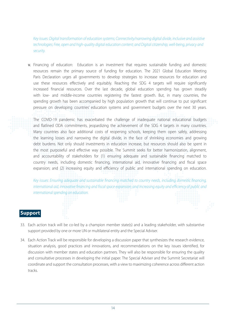*Key issues: Digital transformation of education systems; Connectivity/narrowing digital divide, inclusive and assistive technologies; Free, open and high-quality digital education content; and Digital citizenship, well-being, privacy and security.*

v. Financing of education: Education is an investment that requires sustainable funding and domestic resources remain the primary source of funding for education. The 2021 Global Education Meeting Paris Declaration urges all governments to develop strategies to increase resources for education and use these resources effectively and equitably. Reaching the SDG 4 targets will require significantly increased financial resources. Over the last decade, global education spending has grown steadily with low- and middle-income countries registering the fastest growth. But, in many countries, the spending growth has been accompanied by high population growth that will continue to put significant pressure on developing countries' education systems and government budgets over the next 30 years.

The COVID-19 pandemic has exacerbated the challenge of inadequate national educational budgets and flatlined ODA commitments, jeopardizing the achievement of the SDG 4 targets in many countries. Many countries also face additional costs of reopening schools, keeping them open safely, addressing the learning losses and narrowing the digital divide, in the face of shrinking economies and growing debt burdens. Not only should investments in education increase, but resources should also be spent in the most purposeful and effective way possible. The Summit seeks for better harmonization, alignment, and accountability of stakeholders for (1) ensuring adequate and sustainable financing matched to country needs, including domestic financing, international aid, innovative financing and fiscal space expansion; and (2) increasing equity and efficiency of public and international spending on education.

*Key issues: Ensuring adequate and sustainable financing matched to country needs, including domestic financing, international aid, innovative financing and fiscal space expansion; and Increasing equity and efficiency of public and international spending on education.*

## **Support**

- 33. Each action track will be co-led by a champion member state(s) and a leading stakeholder, with substantive support provided by one or more UN or multilateral entity and the Special Adviser.
- 34. Each Action Track will be responsible for developing a discussion paper that synthesizes the research evidence, situation analysis, good practices and innovations, and recommendations on the key issues identified, for discussion with member states and education partners. They will also be responsible for ensuring the quality and consultative processes in developing the initial paper. The Special Adviser and the Summit Secretariat will coordinate and support the consultation processes, with a view to maximizing coherence across different action tracks.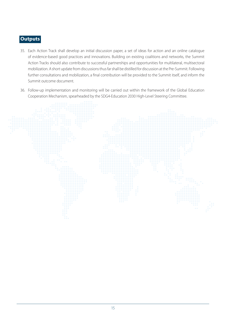## **Outputs**

- 35. Each Action Track shall develop an initial discussion paper, a set of ideas for action and an online catalogue of evidence-based good practices and innovations. Building on existing coalitions and networks, the Summit Action Tracks should also contribute to successful partnerships and opportunities for multilateral, multisectoral mobilization. A short update from discussions thus far shall be distilled for discussion at the Pre-Summit. Following further consultations and mobilization, a final contribution will be provided to the Summit itself, and inform the Summit outcome document.
- 36. Follow-up implementation and monitoring will be carried out within the framework of the Global Education Cooperation Mechanism, spearheaded by the SDG4-Education 2030 High-Level Steering Committee.

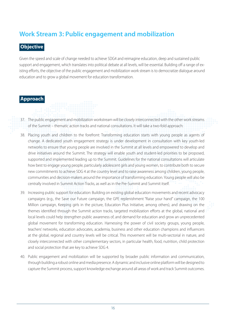# <span id="page-15-0"></span>**Work Stream 3: Public engagement and mobilization**

## **Objective**

Given the speed and scale of change needed to achieve SDG4 and reimagine education, deep and sustained public support and engagement, which translates into political debate at all levels, will be essential. Building off a range of existing efforts, the objective of the public engagement and mobilization work stream is to democratize dialogue around education and to grow a global movement for education transformation.

## **Approach**

37. The public engagement and mobilization workstream will be closely interconnected with the other work streams of the Summit – thematic action tracks and national consultations. It will take a two-fold approach:

- 38. Placing youth and children to the forefront: Transforming education starts with young people as agents of change. A dedicated youth engagement strategy is under development in consultation with key youth-led networks to ensure that young people are involved in the Summit at all levels and empowered to develop and drive initiatives around the Summit. The strategy will enable youth and student-led priorities to be proposed, supported and implemented leading up to the Summit. Guidelines for the national consultations will articulate how best to engage young people, particularly adolescent girls and young women, to contribute both to secure new commitments to achieve SDG 4 at the country level and to raise awareness among children, young people, communities and decision-makers around the importance of transforming education. Young people will also be centrally involved in Summit Action Tracks, as well as in the Pre-Summit and Summit itself.
- 39. Increasing public support for education: Building on existing global education movements and recent advocacy campaigns (e.g., the Save our Future campaign, the GPE replenishment "Raise your hand" campaign, the 100 Million campaign, Keeping girls in the picture, Education Plus Initiative, among others), and drawing on the themes identified through the Summit action tracks, targeted mobilization efforts at the global, national and local levels could help strengthen public awareness of, and demand for education and grow an unprecedented global movement for transforming education. Harnessing the power of civil society groups, young people, teachers' networks, education advocates, academia, business and other education champions and influencers at the global, regional and country levels will be critical. This movement will be multi-sectorial in nature, and closely interconnected with other complementary sectors, in particular health, food, nutrition, child protection and social protection that are key to achieve SDG 4.
- 40. Public engagement and mobilization will be supported by broader public information and communication, through building a robust online and media presence. A dynamic and inclusive online platform will be designed to capture the Summit process, support knowledge exchange around all areas of work and track Summit outcomes.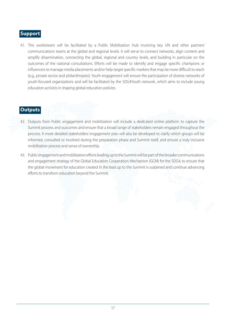## **Support**

41. This workstream will be facilitated by a Public Mobilization Hub involving key UN and other partners' communications teams at the global and regional levels. It will serve to connect networks, align content and amplify dissemination, connecting the global, regional and country levels, and building in particular on the outcomes of the national consultations. Efforts will be made to identify and engage specific champions or influencers to manage media placements and/or help target specific markets that may be more difficult to reach (e.g., private sector and philanthropies). Youth engagement will ensure the participation of diverse networks of youth-focused organizations and will be facilitated by the SDG4Youth network, which aims to include young education activists in shaping global education policies.

#### **Outputs**

- 42. Outputs from Public engagement and mobilization will include a dedicated online platform to capture the Summit process and outcomes and ensure that a broad range of stakeholders remain engaged throughout the process. A more detailed stakeholders' engagement plan will also be developed to clarify which groups will be informed, consulted or involved during the preparation phase and Summit itself, and ensure a truly inclusive mobilization process and sense of ownership.
- 43. Public engagement and mobilization efforts leading up to the Summit will be part of the broader communications and engagement strategy of the Global Education Cooperation Mechanism (GCM) for the SDG4, to ensure that the global movement for education created in the lead up to the Summit is sustained and continue advancing efforts to transform education beyond the Summit.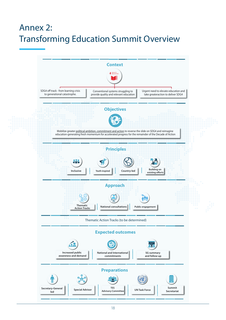# <span id="page-17-0"></span>Annex 2: Transforming Education Summit Overview

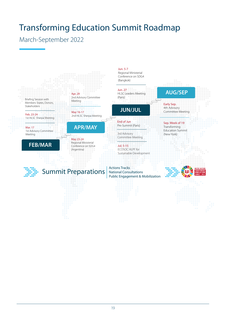# <span id="page-18-0"></span>Transforming Education Summit Roadmap

# March-September 2022

Briefing Session with Members States, Donors, Stakeholders

Feb. 23-24 1st HLSC Sherpa Meeting

Mar. 17 1st Advisory Committee Meeting

# **FEB/MAR**

Apr. 29 2nd Advisory Committee Meeting



## **APR/MAY**

May 23-24 Regional Ministerial Conference on SDG4 (Argentina)

#### Jun. 5-7

Regional Ministerial Conference on SDG4 (Bangkok)

Jun. 27 HLSC Leaders Meeting (Paris)

## **JUN/JUL**

End of Jun Pre-Summit (Paris)

3rd Advisory Committee Meeting

Jul. 5-15 ECOSOC HLPF for Sustainable Development

Actions Tracks National Consultations Public Engagement & Mobilization

# **AUG/SEP**

Early Sep. 4th Advisory Committee Meeting

Sep. Week of 19 **Transforming** Education Summit (New York)



Summit Preparations